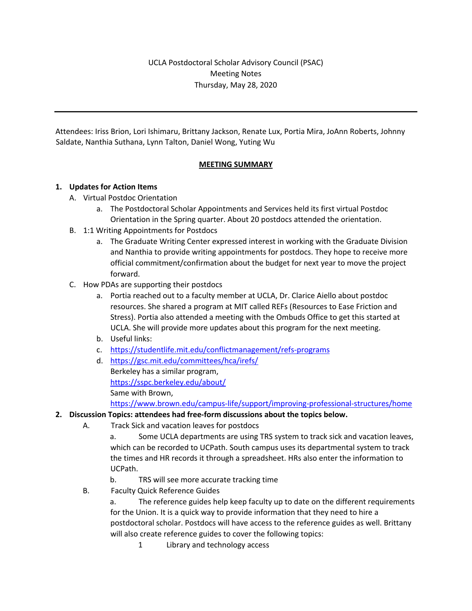Attendees: Iriss Brion, Lori Ishimaru, Brittany Jackson, Renate Lux, Portia Mira, JoAnn Roberts, Johnny Saldate, Nanthia Suthana, Lynn Talton, Daniel Wong, Yuting Wu

## **MEETING SUMMARY**

### **1. Updates for Action Items**

- A. Virtual Postdoc Orientation
	- a. The Postdoctoral Scholar Appointments and Services held its first virtual Postdoc Orientation in the Spring quarter. About 20 postdocs attended the orientation.
- B. 1:1 Writing Appointments for Postdocs
	- a. The Graduate Writing Center expressed interest in working with the Graduate Division and Nanthia to provide writing appointments for postdocs. They hope to receive more official commitment/confirmation about the budget for next year to move the project forward.
- C. How PDAs are supporting their postdocs
	- a. Portia reached out to a faculty member at UCLA, Dr. Clarice Aiello about postdoc resources. She shared a program at MIT called REFs (Resources to Ease Friction and Stress). Portia also attended a meeting with the Ombuds Office to get this started at UCLA. She will provide more updates about this program for the next meeting.
	- b. Useful links:
	- c. https://studentlife.mit.edu/conflictmanagement/refs-programs
	- d. https://gsc.mit.edu/committees/hca/irefs/ Berkeley has a similar program, https://sspc.berkeley.edu/about/ Same with Brown, https://www.brown.edu/campus-life/support/improving-professional-structures/home

#### **2. Discussion Topics: attendees had free-form discussions about the topics below.**

A. Track Sick and vacation leaves for postdocs

a. Some UCLA departments are using TRS system to track sick and vacation leaves, which can be recorded to UCPath. South campus uses its departmental system to track the times and HR records it through a spreadsheet. HRs also enter the information to UCPath.

- b. TRS will see more accurate tracking time
- B. Faculty Quick Reference Guides

a. The reference guides help keep faculty up to date on the different requirements for the Union. It is a quick way to provide information that they need to hire a postdoctoral scholar. Postdocs will have access to the reference guides as well. Brittany will also create reference guides to cover the following topics:

1 Library and technology access